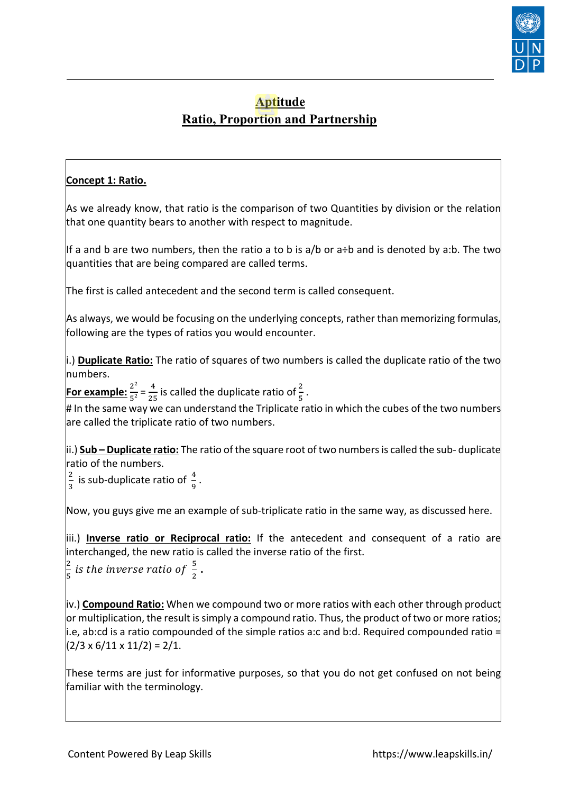

# **Aptitude Ratio, Proportion and Partnership**

#### **Concept 1: Ratio.**

As we already know, that ratio is the comparison of two Quantities by division or the relation that one quantity bears to another with respect to magnitude.

If a and b are two numbers, then the ratio a to b is a/b or a÷b and is denoted by a:b. The two quantities that are being compared are called terms.

The first is called antecedent and the second term is called consequent.

As always, we would be focusing on the underlying concepts, rather than memorizing formulas, following are the types of ratios you would encounter.

i.) **Duplicate Ratio:** The ratio of squares of two numbers is called the duplicate ratio of the two numbers.

**For example:**  $\frac{2^2}{5^2} = \frac{4}{25}$  is called the duplicate ratio of  $\frac{2}{5}$ .

 $\#$  In the same way we can understand the Triplicate ratio in which the cubes of the two numbers are called the triplicate ratio of two numbers.

ii.) **Sub – Duplicate ratio:** The ratio of the square root of two numbers is called the sub- duplicate ratio of the numbers.

2  $\frac{2}{3}$  is sub-duplicate ratio of  $\frac{4}{9}$ .

Now, you guys give me an example of sub-triplicate ratio in the same way, as discussed here.

iii.) **Inverse ratio or Reciprocal ratio:** If the antecedent and consequent of a ratio are interchanged, the new ratio is called the inverse ratio of the first.

2  $\frac{2}{5}$  is the inverse ratio of  $\frac{5}{2}$  .

iv.) **Compound Ratio:** When we compound two or more ratios with each other through product or multiplication, the result is simply a compound ratio. Thus, the product of two or more ratios; i.e, ab:cd is a ratio compounded of the simple ratios a:c and b:d. Required compounded ratio =  $(2/3 \times 6/11 \times 11/2) = 2/1.$ 

These terms are just for informative purposes, so that you do not get confused on not being familiar with the terminology.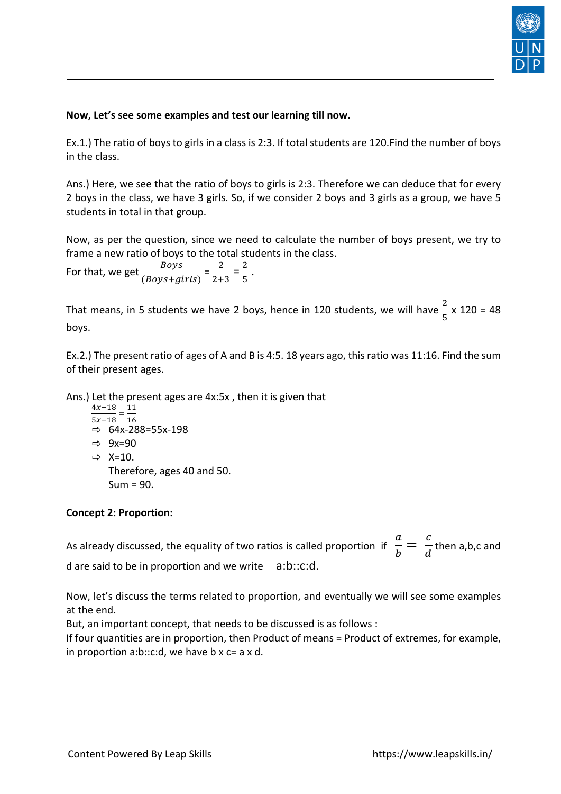

**Now, Let's see some examples and test our learning till now.**

Ex.1.) The ratio of boys to girls in a class is 2:3. If total students are 120.Find the number of boys in the class.

Ans.) Here, we see that the ratio of boys to girls is 2:3. Therefore we can deduce that for every 2 boys in the class, we have 3 girls. So, if we consider 2 boys and 3 girls as a group, we have 5 students in total in that group.

Now, as per the question, since we need to calculate the number of boys present, we try to frame a new ratio of boys to the total students in the class.

For that, we get 
$$
\frac{Boys}{(Boys + girls)} = \frac{2}{2+3} = \frac{2}{5}.
$$

That means, in 5 students we have 2 boys, hence in 120 students, we will have  $\frac{2}{5}$ 5  $x 120 = 48$ boys.

Ex.2.) The present ratio of ages of A and B is 4:5. 18 years ago, this ratio was 11:16. Find the sum of their present ages.

Ans.) Let the present ages are 4x:5x , then it is given that

 $\frac{4x-18}{5x-18} = \frac{11}{16}$ 16  $\Rightarrow$  64x-288=55x-198 ⇨ 9x=90  $\Rightarrow$  X=10. Therefore, ages 40 and 50.

 $Sum = 90$ .

#### **Concept 2: Proportion:**

As already discussed, the equality of two ratios is called proportion if  $\frac{a}{b} = \frac{c}{d}$  then a,b,c and

d are said to be in proportion and we write  $a:b::c:d$ .

Now, let's discuss the terms related to proportion, and eventually we will see some examples at the end.

But, an important concept, that needs to be discussed is as follows :

If four quantities are in proportion, then Product of means = Product of extremes, for example, in proportion a:b::c:d, we have b  $x = a \times d$ .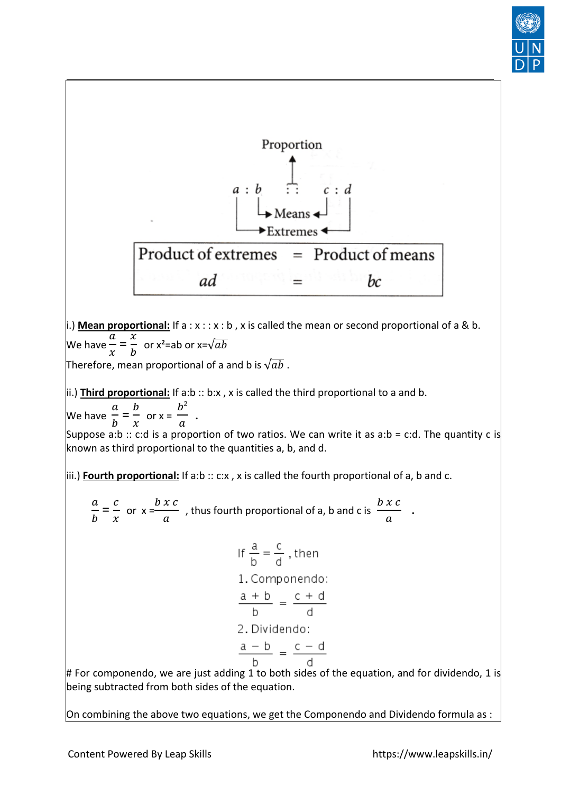



On combining the above two equations, we get the Componendo and Dividendo formula as :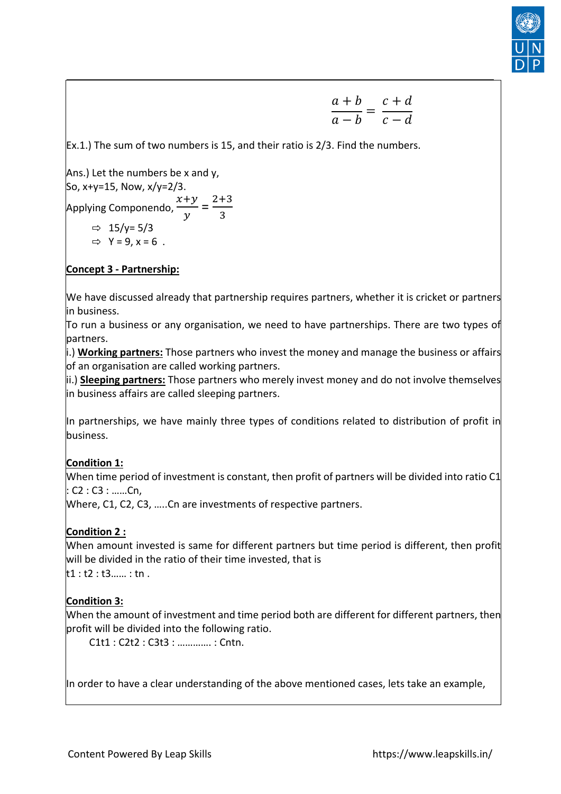

 $\frac{+b}{-b} = \frac{c+d}{c-d}$ 

Ex.1.) The sum of two numbers is 15, and their ratio is 2/3. Find the numbers.

3

Ans.) Let the numbers be x and y, So, x+y=15, Now, x/y=2/3. Applying Componendo,  $\frac{x+y}{y} = \frac{2+3}{3}$ 

$$
\Rightarrow 15/\gamma = 5/3
$$
  
\n
$$
\Rightarrow Y = 9, x = 6.
$$

## **Concept 3 - Partnership:**

We have discussed already that partnership requires partners, whether it is cricket or partners in business.

To run a business or any organisation, we need to have partnerships. There are two types of partners.

i.) **Working partners:** Those partners who invest the money and manage the business or affairs of an organisation are called working partners.

ii.) **Sleeping partners:** Those partners who merely invest money and do not involve themselves in business affairs are called sleeping partners.

In partnerships, we have mainly three types of conditions related to distribution of profit in business.

## **Condition 1:**

When time period of investment is constant, then profit of partners will be divided into ratio C1 : C2 : C3 : ……Cn,

Where, C1, C2, C3, …..Cn are investments of respective partners.

## **Condition 2 :**

When amount invested is same for different partners but time period is different, then profit will be divided in the ratio of their time invested, that is t1 : t2 : t3…… : tn .

## **Condition 3:**

When the amount of investment and time period both are different for different partners, then profit will be divided into the following ratio.

C1t1 : C2t2 : C3t3 : …………. : Cntn.

In order to have a clear understanding of the above mentioned cases, lets take an example,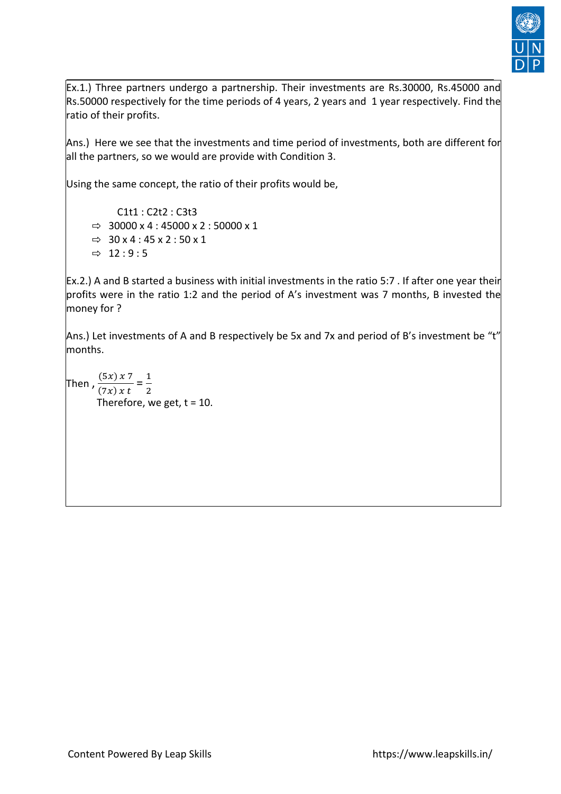

Ex.1.) Three partners undergo a partnership. Their investments are Rs.30000, Rs.45000 and Rs.50000 respectively for the time periods of 4 years, 2 years and 1 year respectively. Find the ratio of their profits.

Ans.) Here we see that the investments and time period of investments, both are different for all the partners, so we would are provide with Condition 3.

Using the same concept, the ratio of their profits would be,

 C1t1 : C2t2 : C3t3  $\Rightarrow$  30000 x 4 : 45000 x 2 : 50000 x 1  $\Rightarrow$  30 x 4 : 45 x 2 : 50 x 1  $\Rightarrow$  12:9:5

Ex.2.) A and B started a business with initial investments in the ratio 5:7 . If after one year their profits were in the ratio 1:2 and the period of A's investment was 7 months, B invested the money for ?

Ans.) Let investments of A and B respectively be 5x and 7x and period of B's investment be "t" months.

Then ,  $\frac{(5x) \times 7}{(7x) \times 7}$  $(7x)$  x t  $=\frac{1}{2}$ 2 Therefore, we get,  $t = 10$ .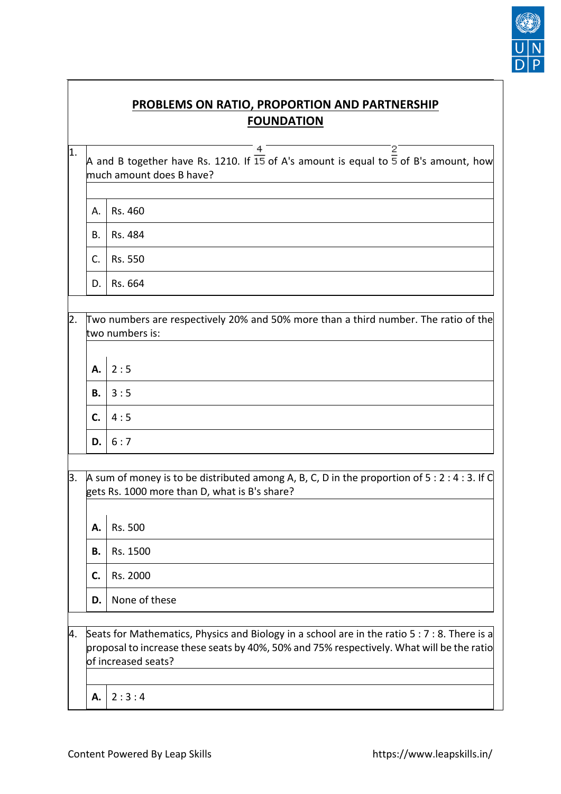

|                                                                                                                                                            | <b>FOUNDATION</b> |                                                                                                                                                                                                                   |  |  |  |  |
|------------------------------------------------------------------------------------------------------------------------------------------------------------|-------------------|-------------------------------------------------------------------------------------------------------------------------------------------------------------------------------------------------------------------|--|--|--|--|
| 2<br>4<br>1.<br>A and B together have Rs. 1210. If $\overline{15}$ of A's amount is equal to $\overline{5}$ of B's amount, how<br>much amount does B have? |                   |                                                                                                                                                                                                                   |  |  |  |  |
|                                                                                                                                                            | Α.                | Rs. 460                                                                                                                                                                                                           |  |  |  |  |
|                                                                                                                                                            | В.                | Rs. 484                                                                                                                                                                                                           |  |  |  |  |
|                                                                                                                                                            | C.                | Rs. 550                                                                                                                                                                                                           |  |  |  |  |
|                                                                                                                                                            | D.                | Rs. 664                                                                                                                                                                                                           |  |  |  |  |
| 2.                                                                                                                                                         |                   | Two numbers are respectively 20% and 50% more than a third number. The ratio of the<br>two numbers is:                                                                                                            |  |  |  |  |
|                                                                                                                                                            | А.                | 2:5                                                                                                                                                                                                               |  |  |  |  |
|                                                                                                                                                            | В.                | 3:5                                                                                                                                                                                                               |  |  |  |  |
|                                                                                                                                                            | C.                | 4:5                                                                                                                                                                                                               |  |  |  |  |
|                                                                                                                                                            | D.                | 6:7                                                                                                                                                                                                               |  |  |  |  |
| 3.                                                                                                                                                         |                   | A sum of money is to be distributed among A, B, C, D in the proportion of $5:2:4:3$ . If C<br>gets Rs. 1000 more than D, what is B's share?                                                                       |  |  |  |  |
|                                                                                                                                                            | А.                | Rs. 500                                                                                                                                                                                                           |  |  |  |  |
|                                                                                                                                                            | В.                | Rs. 1500                                                                                                                                                                                                          |  |  |  |  |
|                                                                                                                                                            | C.                | Rs. 2000                                                                                                                                                                                                          |  |  |  |  |
|                                                                                                                                                            | D.                | None of these                                                                                                                                                                                                     |  |  |  |  |
| 4.                                                                                                                                                         |                   | Seats for Mathematics, Physics and Biology in a school are in the ratio 5 : 7 : 8. There is a<br>proposal to increase these seats by 40%, 50% and 75% respectively. What will be the ratio<br>of increased seats? |  |  |  |  |
|                                                                                                                                                            | Α.                | 2:3:4                                                                                                                                                                                                             |  |  |  |  |

 $\mathbf \tau$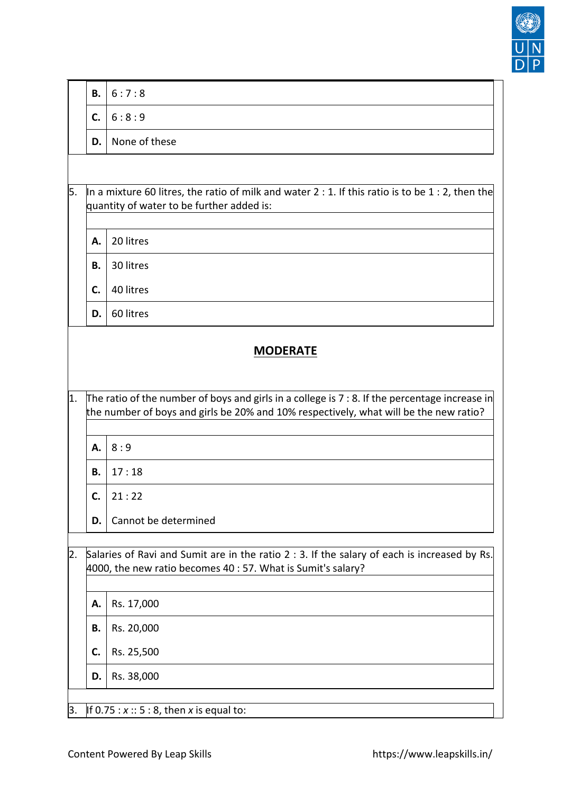|    | В.                                                                                                                                                                                                          | 6:7:8                                                                                                                                          |  |  |
|----|-------------------------------------------------------------------------------------------------------------------------------------------------------------------------------------------------------------|------------------------------------------------------------------------------------------------------------------------------------------------|--|--|
|    |                                                                                                                                                                                                             |                                                                                                                                                |  |  |
|    | $\mathsf{C}$ .                                                                                                                                                                                              | 6:8:9                                                                                                                                          |  |  |
|    | D.                                                                                                                                                                                                          | None of these                                                                                                                                  |  |  |
|    |                                                                                                                                                                                                             |                                                                                                                                                |  |  |
| 5. |                                                                                                                                                                                                             | In a mixture 60 litres, the ratio of milk and water 2 : 1. If this ratio is to be 1 : 2, then the<br>quantity of water to be further added is: |  |  |
|    | А.                                                                                                                                                                                                          | 20 litres                                                                                                                                      |  |  |
|    | Β.                                                                                                                                                                                                          | 30 litres                                                                                                                                      |  |  |
|    | C.                                                                                                                                                                                                          | 40 litres                                                                                                                                      |  |  |
|    | D.                                                                                                                                                                                                          | 60 litres                                                                                                                                      |  |  |
| 1. | <b>MODERATE</b><br>The ratio of the number of boys and girls in a college is $7:8$ . If the percentage increase in<br>the number of boys and girls be 20% and 10% respectively, what will be the new ratio? |                                                                                                                                                |  |  |
|    | А.                                                                                                                                                                                                          | 8:9                                                                                                                                            |  |  |
|    | В.                                                                                                                                                                                                          | 17:18                                                                                                                                          |  |  |
|    | C.                                                                                                                                                                                                          | 21:22                                                                                                                                          |  |  |
|    | D.                                                                                                                                                                                                          | Cannot be determined                                                                                                                           |  |  |
| 2. | Salaries of Ravi and Sumit are in the ratio 2 : 3. If the salary of each is increased by Rs.<br>4000, the new ratio becomes 40 : 57. What is Sumit's salary?                                                |                                                                                                                                                |  |  |
|    | А.                                                                                                                                                                                                          | Rs. 17,000                                                                                                                                     |  |  |
|    | В.                                                                                                                                                                                                          | Rs. 20,000                                                                                                                                     |  |  |
|    | C.                                                                                                                                                                                                          | Rs. 25,500                                                                                                                                     |  |  |
|    | D.                                                                                                                                                                                                          | Rs. 38,000                                                                                                                                     |  |  |
| 3. | If $0.75: x :: 5:8$ , then x is equal to:                                                                                                                                                                   |                                                                                                                                                |  |  |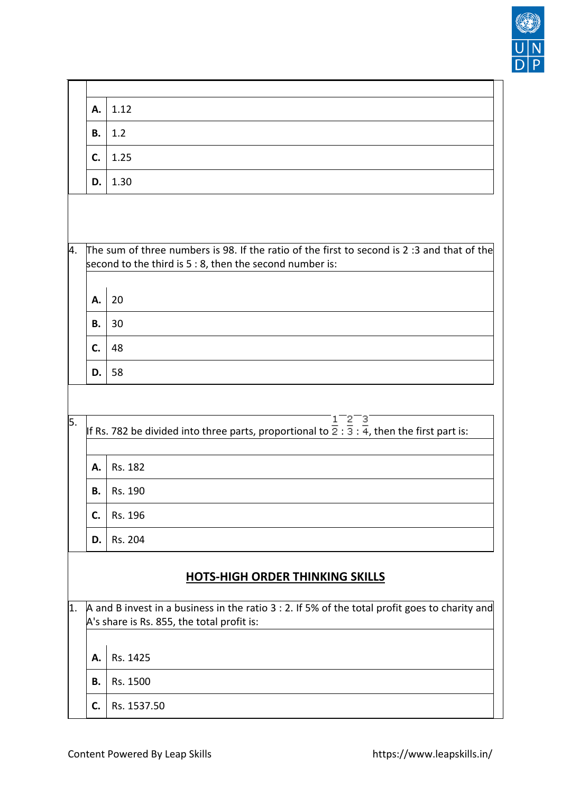

|    | А.                                                                                                                                                       | 1.12                                                                                                                            |  |
|----|----------------------------------------------------------------------------------------------------------------------------------------------------------|---------------------------------------------------------------------------------------------------------------------------------|--|
|    | В.                                                                                                                                                       | 1.2                                                                                                                             |  |
|    | C.                                                                                                                                                       | 1.25                                                                                                                            |  |
|    | D.                                                                                                                                                       | 1.30                                                                                                                            |  |
|    |                                                                                                                                                          |                                                                                                                                 |  |
|    |                                                                                                                                                          |                                                                                                                                 |  |
| 4. | The sum of three numbers is 98. If the ratio of the first to second is 2 :3 and that of the<br>second to the third is $5:8$ , then the second number is: |                                                                                                                                 |  |
|    | А.                                                                                                                                                       | 20                                                                                                                              |  |
|    |                                                                                                                                                          |                                                                                                                                 |  |
|    | В.                                                                                                                                                       | 30                                                                                                                              |  |
|    | C.                                                                                                                                                       | 48                                                                                                                              |  |
|    | D.                                                                                                                                                       | 58                                                                                                                              |  |
|    |                                                                                                                                                          |                                                                                                                                 |  |
|    |                                                                                                                                                          |                                                                                                                                 |  |
| 5. |                                                                                                                                                          | If Rs. 782 be divided into three parts, proportional to $\frac{1}{2}$ : $\frac{2}{3}$ : $\frac{3}{4}$ , then the first part is: |  |
|    |                                                                                                                                                          |                                                                                                                                 |  |
|    | А.                                                                                                                                                       | Rs. 182                                                                                                                         |  |
|    | В.                                                                                                                                                       | Rs. 190                                                                                                                         |  |
|    | C.                                                                                                                                                       | Rs. 196                                                                                                                         |  |
|    | D.                                                                                                                                                       | Rs. 204                                                                                                                         |  |
|    |                                                                                                                                                          |                                                                                                                                 |  |
|    |                                                                                                                                                          | <b>HOTS-HIGH ORDER THINKING SKILLS</b>                                                                                          |  |
| 1. |                                                                                                                                                          | A and B invest in a business in the ratio $3:2$ . If 5% of the total profit goes to charity and                                 |  |
|    | A's share is Rs. 855, the total profit is:                                                                                                               |                                                                                                                                 |  |
|    | А.                                                                                                                                                       | Rs. 1425                                                                                                                        |  |
|    | В.                                                                                                                                                       | Rs. 1500                                                                                                                        |  |
|    | C.                                                                                                                                                       | Rs. 1537.50                                                                                                                     |  |
|    |                                                                                                                                                          |                                                                                                                                 |  |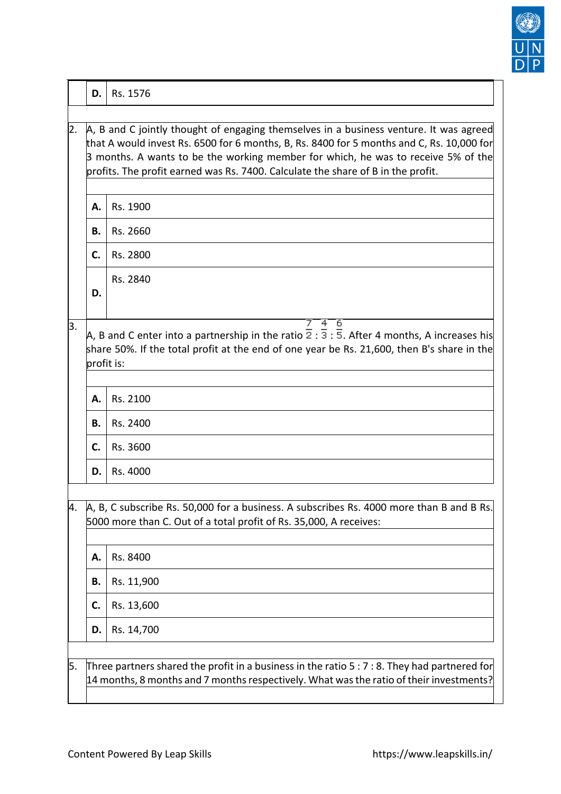

|                              | D.                                                                                                                                                                                      | Rs. 1576                                                                                                                                                                                                                                                                                                                                                           |  |
|------------------------------|-----------------------------------------------------------------------------------------------------------------------------------------------------------------------------------------|--------------------------------------------------------------------------------------------------------------------------------------------------------------------------------------------------------------------------------------------------------------------------------------------------------------------------------------------------------------------|--|
| 2.                           |                                                                                                                                                                                         | A, B and C jointly thought of engaging themselves in a business venture. It was agreed<br>that A would invest Rs. 6500 for 6 months, B, Rs. 8400 for 5 months and C, Rs. 10,000 for<br>$\beta$ months. A wants to be the working member for which, he was to receive 5% of the<br>profits. The profit earned was Rs. 7400. Calculate the share of B in the profit. |  |
|                              | А.<br>В.                                                                                                                                                                                | Rs. 1900<br>Rs. 2660                                                                                                                                                                                                                                                                                                                                               |  |
|                              | C.                                                                                                                                                                                      | Rs. 2800                                                                                                                                                                                                                                                                                                                                                           |  |
|                              | D.                                                                                                                                                                                      | Rs. 2840                                                                                                                                                                                                                                                                                                                                                           |  |
| 4<br>- 6<br>Β.<br>profit is: |                                                                                                                                                                                         | $\vert$ A, B and C enter into a partnership in the ratio $\overline{2}$ : $\overline{3}$ : $\overline{5}$ . After 4 months, A increases his<br>share 50%. If the total profit at the end of one year be Rs. 21,600, then B's share in the                                                                                                                          |  |
|                              | А.                                                                                                                                                                                      | Rs. 2100                                                                                                                                                                                                                                                                                                                                                           |  |
|                              | В.                                                                                                                                                                                      | Rs. 2400                                                                                                                                                                                                                                                                                                                                                           |  |
|                              | С.                                                                                                                                                                                      | Rs. 3600                                                                                                                                                                                                                                                                                                                                                           |  |
|                              | D.                                                                                                                                                                                      | Rs. 4000                                                                                                                                                                                                                                                                                                                                                           |  |
| 4.                           |                                                                                                                                                                                         | A, B, C subscribe Rs. 50,000 for a business. A subscribes Rs. 4000 more than B and B Rs.<br>5000 more than C. Out of a total profit of Rs. 35,000, A receives:                                                                                                                                                                                                     |  |
|                              | А.                                                                                                                                                                                      | Rs. 8400                                                                                                                                                                                                                                                                                                                                                           |  |
|                              | В.                                                                                                                                                                                      | Rs. 11,900                                                                                                                                                                                                                                                                                                                                                         |  |
|                              | C.                                                                                                                                                                                      | Rs. 13,600                                                                                                                                                                                                                                                                                                                                                         |  |
|                              | D.                                                                                                                                                                                      | Rs. 14,700                                                                                                                                                                                                                                                                                                                                                         |  |
| 5.                           | Three partners shared the profit in a business in the ratio $5:7:8$ . They had partnered for<br>14 months, 8 months and 7 months respectively. What was the ratio of their investments? |                                                                                                                                                                                                                                                                                                                                                                    |  |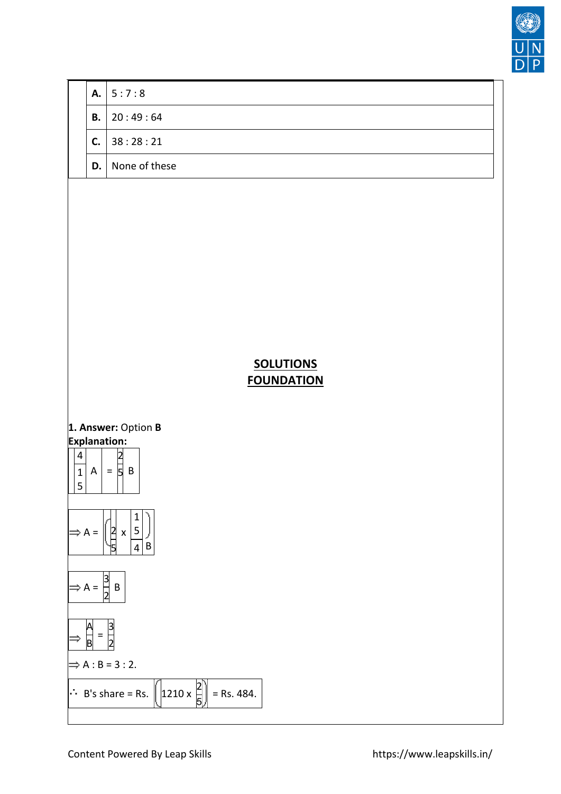

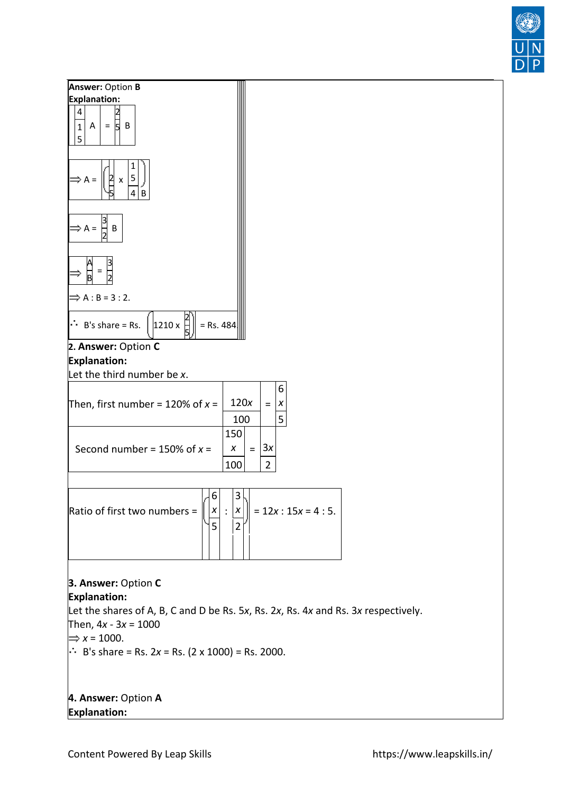

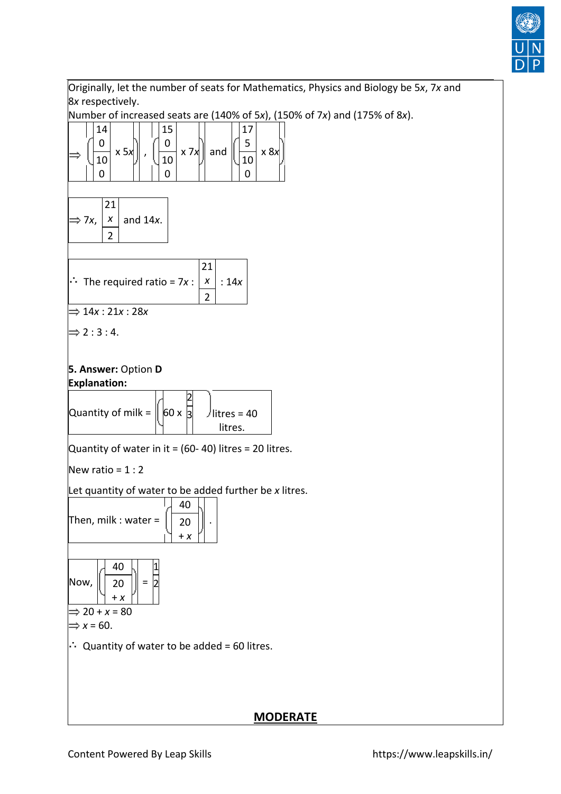

Originally, let the number of seats for Mathematics, Physics and Biology be 5*x*, 7*x* and 8*x* respectively.

Number of increased seats are (140% of 5*x*), (150% of 7*x*) and (175% of 8*x*).

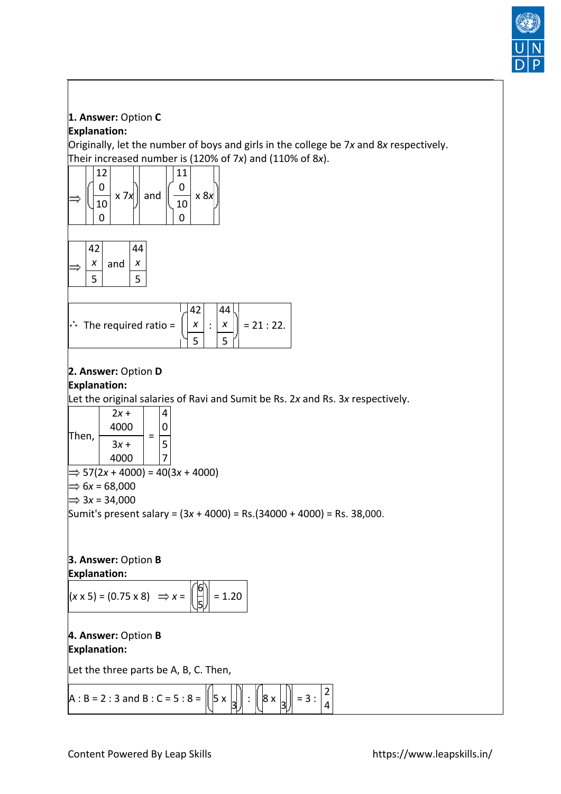

# **1. Answer:** Option **C**

#### **Explanation:**

Originally, let the number of boys and girls in the college be 7*x* and 8*x* respectively. Their increased number is (120% of 7*x*) and (110% of 8*x*).

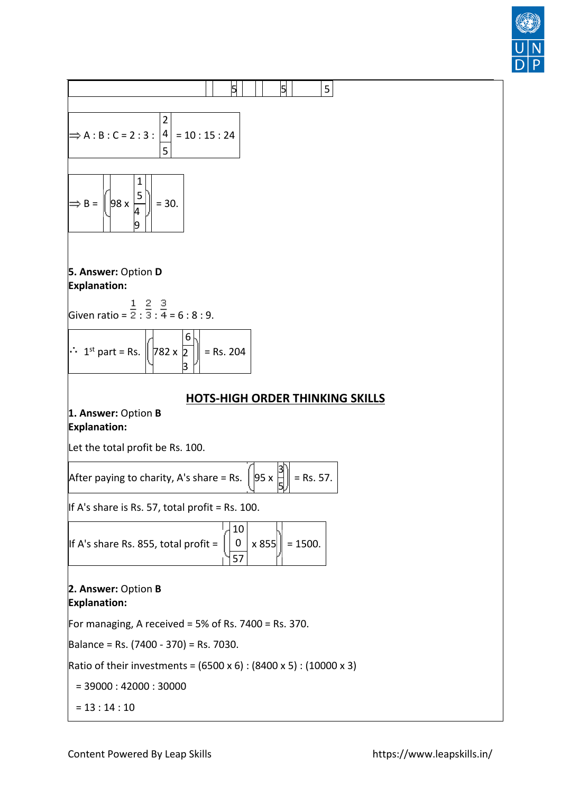

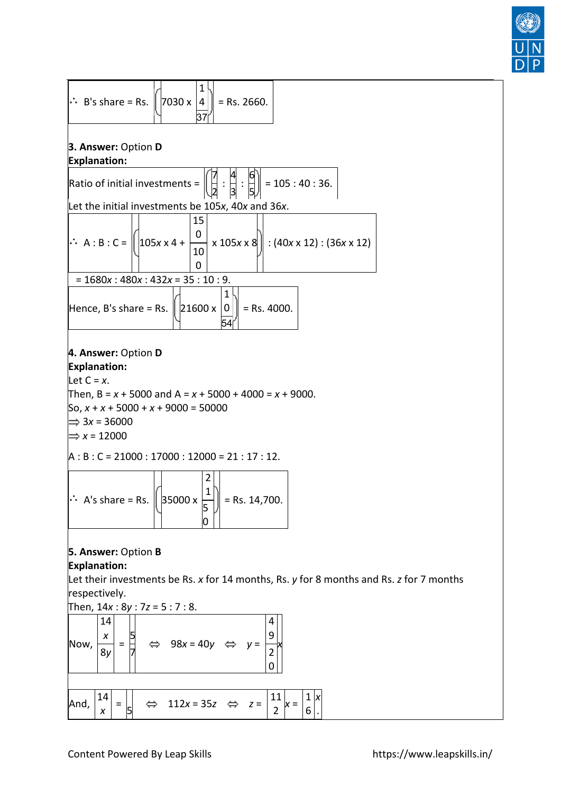